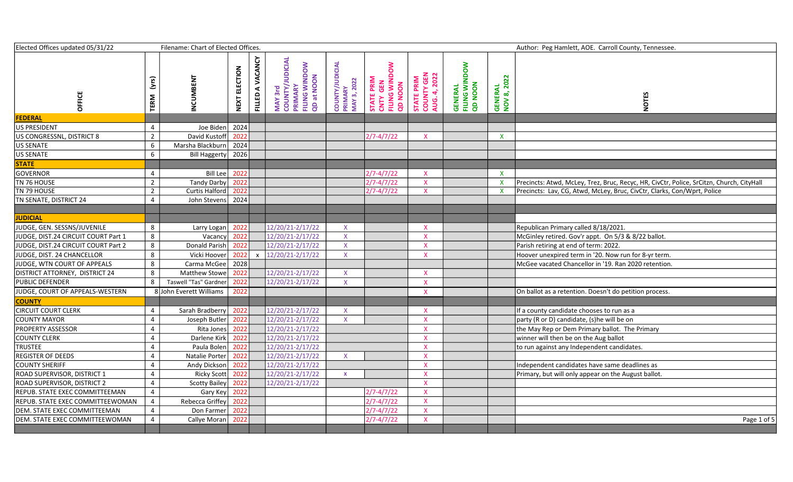| Elected Offices updated 05/31/22    |                | Filename: Chart of Elected Offices. |                         |                                            |                                                                                |                                           |                                                                 |                                                   |                                              |                        | Author: Peg Hamlett, AOE. Carroll County, Tennessee.                                     |
|-------------------------------------|----------------|-------------------------------------|-------------------------|--------------------------------------------|--------------------------------------------------------------------------------|-------------------------------------------|-----------------------------------------------------------------|---------------------------------------------------|----------------------------------------------|------------------------|------------------------------------------------------------------------------------------|
| OFFICE                              | (yrs<br>TERM   | <b>INCUMBENT</b>                    | ELECTION<br><b>NEXT</b> | VACANCY<br>$\blacktriangleleft$<br>FILLED. | <b>MAY 3rd<br/>COUNTY/JUDICIAL<br/>PRIMARY<br/>FILING WINDOW</b><br>QD at NOON | COUNTY/JUDICIAL<br>PRIMARY<br>MAY 3, 2022 | <b>STATE PRIM<br/>CNTY GEN<br/>FILING WINDOW</b><br><b>NOON</b> | <b>STATE PRIM<br/>COUNTY GEN<br/>AUG. 4, 2022</b> | <b>GENERAL<br/>FILING WINDOW<br/>QD NOON</b> | GENERAL<br>NOV 8, 2022 | <b>NOTES</b>                                                                             |
| <b>FEDERAL</b>                      |                |                                     |                         |                                            |                                                                                |                                           |                                                                 |                                                   |                                              |                        |                                                                                          |
| US PRESIDENT                        | 4              | Joe Biden                           | 2024                    |                                            |                                                                                |                                           |                                                                 |                                                   |                                              |                        |                                                                                          |
| US CONGRESSNL, DISTRICT 8           | $\overline{2}$ | David Kustoff                       | 2022                    |                                            |                                                                                |                                           | $2/7 - 4/7/22$                                                  | $\mathsf{X}$                                      |                                              | $\mathsf{X}$           |                                                                                          |
| US SENATE                           | 6              | Marsha Blackburn                    | 2024                    |                                            |                                                                                |                                           |                                                                 |                                                   |                                              |                        |                                                                                          |
| US SENATE                           | 6              | Bill Haggerty                       | 2026                    |                                            |                                                                                |                                           |                                                                 |                                                   |                                              |                        |                                                                                          |
| <b>STATE</b>                        |                |                                     |                         |                                            |                                                                                |                                           |                                                                 |                                                   |                                              |                        |                                                                                          |
| <b>GOVERNOR</b>                     | 4              | Bill Lee                            | 2022                    |                                            |                                                                                |                                           | $2/7 - 4/7/22$                                                  | $\mathsf{X}$                                      |                                              | $\mathsf{x}$           |                                                                                          |
| TN 76 HOUSE                         | $\overline{2}$ | Tandy Darby                         | 2022                    |                                            |                                                                                |                                           | $2/7 - 4/7/22$                                                  | $\mathsf{X}$                                      |                                              |                        | Precincts: Atwd, McLey, Trez, Bruc, Recyc, HR, CivCtr, Police, SrCitzn, Church, CityHall |
| TN 79 HOUSE                         | $\overline{2}$ | Curtis Halford                      | 2022                    |                                            |                                                                                |                                           | 2/7-4/7/22                                                      | $\mathsf{X}$                                      |                                              |                        | Precincts: Lav, CG, Atwd, McLey, Bruc, CivCtr, Clarks, Con/Wprt, Police                  |
| TN SENATE, DISTRICT 24              | $\overline{4}$ | John Stevens                        | 2024                    |                                            |                                                                                |                                           |                                                                 |                                                   |                                              |                        |                                                                                          |
|                                     |                |                                     |                         |                                            |                                                                                |                                           |                                                                 |                                                   |                                              |                        |                                                                                          |
| <b>JUDICIAL</b>                     |                |                                     |                         |                                            |                                                                                |                                           |                                                                 |                                                   |                                              |                        |                                                                                          |
| JUDGE, GEN. SESSNS/JUVENILE         | 8              | Larry Logan                         | 2022                    |                                            | 12/20/21-2/17/22                                                               | $\mathsf{X}$                              |                                                                 | $\boldsymbol{\mathsf{X}}$                         |                                              |                        | Republican Primary called 8/18/2021.                                                     |
| JUDGE, DIST.24 CIRCUIT COURT Part 1 | 8              | Vacancy                             | 2022                    |                                            | 12/20/21-2/17/22                                                               | $\mathsf{X}$                              |                                                                 | $\mathsf{X}$                                      |                                              |                        | McGinley retired. Gov'r appt. On 5/3 & 8/22 ballot.                                      |
| JUDGE, DIST.24 CIRCUIT COURT Part 2 | 8              | Donald Parish                       | 2022                    |                                            | 12/20/21-2/17/22                                                               | $\mathsf{X}$                              |                                                                 | $\mathsf{X}$                                      |                                              |                        | Parish retiring at end of term: 2022.                                                    |
| JUDGE, DIST. 24 CHANCELLOR          | 8              | Vicki Hoover                        | 2022                    | $\mathbf{x}$                               | 12/20/21-2/17/22                                                               | $\mathsf{X}$                              |                                                                 | $\mathsf{X}$                                      |                                              |                        | Hoover unexpired term in '20. Now run for 8-yr term.                                     |
| JUDGE, WTN COURT OF APPEALS         | 8              | Carma McGee                         | 2028                    |                                            |                                                                                |                                           |                                                                 |                                                   |                                              |                        | McGee vacated Chancellor in '19. Ran 2020 retention.                                     |
| DISTRICT ATTORNEY, DISTRICT 24      | 8              | Matthew Stowe                       | 2022                    |                                            | 12/20/21-2/17/22                                                               | $\mathsf{X}$                              |                                                                 | $\mathsf{X}$                                      |                                              |                        |                                                                                          |
| PUBLIC DEFENDER                     | 8              | Taswell "Tas" Gardner               | 2022                    |                                            | 12/20/21-2/17/22                                                               | $\mathsf X$                               |                                                                 | $\mathsf{X}$                                      |                                              |                        |                                                                                          |
| JUDGE, COURT OF APPEALS-WESTERN     |                | 8 John Everett Williams             | 2022                    |                                            |                                                                                |                                           |                                                                 | $\mathsf{X}$                                      |                                              |                        | On ballot as a retention. Doesn't do petition process.                                   |
| <b>COUNTY</b>                       |                |                                     |                         |                                            |                                                                                |                                           |                                                                 |                                                   |                                              |                        |                                                                                          |
| <b>CIRCUIT COURT CLERK</b>          | $\overline{4}$ | Sarah Bradberry                     | 2022                    |                                            | 12/20/21-2/17/22                                                               | $\mathsf{X}$                              |                                                                 | X                                                 |                                              |                        | If a county candidate chooses to run as a                                                |
| <b>COUNTY MAYOR</b>                 | 4              | Joseph Butler                       | 2022                    |                                            | 12/20/21-2/17/22                                                               | $\mathsf{X}$                              |                                                                 | $\mathsf{X}$                                      |                                              |                        | party (R or D) candidate, (s)he will be on                                               |
| <b>PROPERTY ASSESSOR</b>            | 4              | Rita Jones                          | 2022                    |                                            | 12/20/21-2/17/22                                                               |                                           |                                                                 | $\mathsf{X}$                                      |                                              |                        | the May Rep or Dem Primary ballot. The Primary                                           |
| <b>COUNTY CLERK</b>                 | 4              | Darlene Kirk                        | 2022                    |                                            | 12/20/21-2/17/22                                                               |                                           |                                                                 | $\mathsf{X}$                                      |                                              |                        | winner will then be on the Aug ballot                                                    |
| <b>TRUSTEE</b>                      | 4              | Paula Bolen                         | 2022                    |                                            | 12/20/21-2/17/22                                                               |                                           |                                                                 | $\boldsymbol{\mathsf{X}}$                         |                                              |                        | to run against any Independent candidates.                                               |
| <b>REGISTER OF DEEDS</b>            | 4              | Natalie Porter                      | 2022                    |                                            | 12/20/21-2/17/22                                                               | $\mathsf{X}$                              |                                                                 | $\mathsf{X}$                                      |                                              |                        |                                                                                          |
| <b>COUNTY SHERIFF</b>               | 4              | Andy Dickson                        | 2022                    |                                            | 12/20/21-2/17/22                                                               |                                           |                                                                 | $\mathsf{x}$                                      |                                              |                        | Independent candidates have same deadlines as                                            |
| ROAD SUPERVISOR, DISTRICT 1         | 4              | Ricky Scott                         | 2022                    |                                            | 12/20/21-2/17/22                                                               | $\mathbf{x}$                              |                                                                 | $\mathsf{X}$                                      |                                              |                        | Primary, but will only appear on the August ballot.                                      |
| ROAD SUPERVISOR, DISTRICT 2         | $\overline{4}$ | Scotty Bailey                       | 2022                    |                                            | $\overline{12}/20/21 - 2/17/22$                                                |                                           |                                                                 | $\mathsf{X}$                                      |                                              |                        |                                                                                          |
| REPUB. STATE EXEC COMMITTEEMAN      | $\overline{4}$ | Gary Key                            | 2022                    |                                            |                                                                                |                                           | $2/7 - 4/7/22$                                                  | $\mathsf{X}$                                      |                                              |                        |                                                                                          |
| REPUB. STATE EXEC COMMITTEEWOMAN    | 4              | Rebecca Griffey                     | 2022                    |                                            |                                                                                |                                           | $2/7 - 4/7/22$                                                  | $\mathsf{X}$                                      |                                              |                        |                                                                                          |
| DEM. STATE EXEC COMMITTEEMAN        | 4              | Don Farmer                          | 2022                    |                                            |                                                                                |                                           | $2/7 - 4/7/22$                                                  | $\mathsf{X}$                                      |                                              |                        |                                                                                          |
| DEM. STATE EXEC COMMITTEEWOMAN      | 4              | Callye Moran                        | 2022                    |                                            |                                                                                |                                           | $2/7 - 4/7/22$                                                  | $\mathsf{X}$                                      |                                              |                        | Page 1 of 5                                                                              |
|                                     |                |                                     |                         |                                            |                                                                                |                                           |                                                                 |                                                   |                                              |                        |                                                                                          |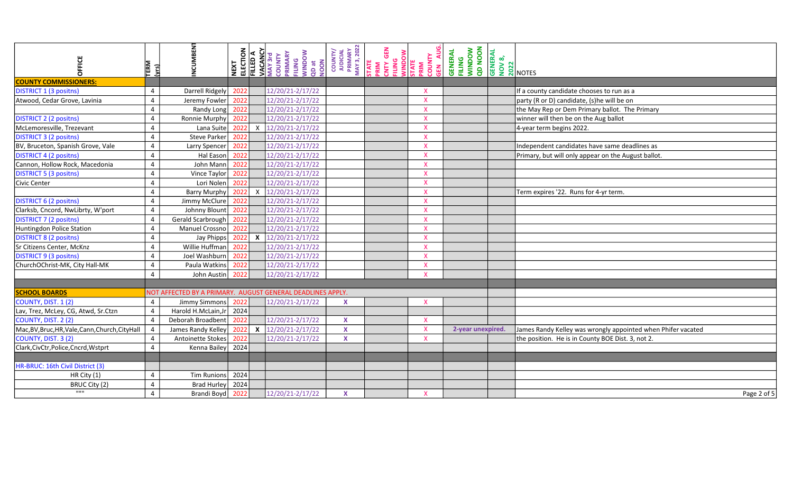| <b>OFFICE</b>                                    | TERM<br>( <u>yrs)</u> | NCUMBEN                                                    | NEXT<br>ELECTION<br>FILLED A |                  | <b>VACANCY</b><br>MAY 3rd<br>COUNTY<br>PRIMARY<br>FILING<br>VINDOW<br>QD at<br>QD at | PRIMARY<br>MAY 3, 2022<br>COUNTY/<br>JUDICIAL | GEN<br>STATE<br>PRIM<br>CNTY GEN<br>FILING<br>WINDOW | STATE<br>PRIM<br>COUNTY<br>GEN AU | <b>NOON dD</b><br><b>GENERAL<br/>FILING<br/>WINDOW</b> | <b>GENERAL</b><br><b>GENERAL</b><br><b>DO 2022</b><br><b>NOTES</b> |                                                              |
|--------------------------------------------------|-----------------------|------------------------------------------------------------|------------------------------|------------------|--------------------------------------------------------------------------------------|-----------------------------------------------|------------------------------------------------------|-----------------------------------|--------------------------------------------------------|--------------------------------------------------------------------|--------------------------------------------------------------|
| <b>COUNTY COMMISSIONERS:</b>                     |                       |                                                            |                              |                  |                                                                                      |                                               |                                                      |                                   |                                                        |                                                                    |                                                              |
| <b>DISTRICT 1 (3 positns)</b>                    | $\overline{4}$        | Darrell Ridgely                                            | 2022                         |                  | 12/20/21-2/17/22                                                                     |                                               |                                                      | $\boldsymbol{\mathsf{X}}$         |                                                        |                                                                    | If a county candidate chooses to run as a                    |
| Atwood, Cedar Grove, Lavinia                     | $\overline{4}$        | Jeremy Fowler                                              | 2022                         |                  | 12/20/21-2/17/22                                                                     |                                               |                                                      | $\boldsymbol{\mathsf{X}}$         |                                                        |                                                                    | party (R or D) candidate, (s)he will be on                   |
|                                                  | $\overline{4}$        | Randy Long                                                 | 2022                         |                  | 12/20/21-2/17/22                                                                     |                                               |                                                      | $\boldsymbol{\mathsf{X}}$         |                                                        |                                                                    | the May Rep or Dem Primary ballot. The Primary               |
| <b>DISTRICT 2 (2 positns)</b>                    | 4                     | Ronnie Murphy                                              | 2022                         |                  | 12/20/21-2/17/22                                                                     |                                               |                                                      | $\mathsf{X}$                      |                                                        |                                                                    | winner will then be on the Aug ballot                        |
| McLemoresville, Trezevant                        | 4                     | Lana Suite                                                 | 2022                         | X                | 12/20/21-2/17/22                                                                     |                                               |                                                      | $\mathsf{X}$                      |                                                        |                                                                    | 4-year term begins 2022.                                     |
| <b>DISTRICT 3 (2 positns)</b>                    | $\Delta$              | Steve Parker                                               | 2022                         |                  | 12/20/21-2/17/22                                                                     |                                               |                                                      | $\overline{\mathsf{x}}$           |                                                        |                                                                    |                                                              |
| BV, Bruceton, Spanish Grove, Vale                | 4                     | Larry Spencer                                              | 2022                         |                  | 12/20/21-2/17/22                                                                     |                                               |                                                      | $\boldsymbol{\mathsf{x}}$         |                                                        |                                                                    | Independent candidates have same deadlines as                |
| <b>DISTRICT 4 (2 positns)</b>                    | 4                     | Hal Eason                                                  | 2022                         |                  | 12/20/21-2/17/22                                                                     |                                               |                                                      | $\boldsymbol{\mathsf{x}}$         |                                                        |                                                                    | Primary, but will only appear on the August ballot.          |
| Cannon, Hollow Rock, Macedonia                   | $\overline{4}$        | John Mann                                                  | 2022                         |                  | 12/20/21-2/17/22                                                                     |                                               |                                                      | $\boldsymbol{\mathsf{x}}$         |                                                        |                                                                    |                                                              |
| <b>DISTRICT 5 (3 positns)</b>                    | $\overline{4}$        | Vince Taylor                                               | 2022                         |                  | 12/20/21-2/17/22                                                                     |                                               |                                                      | $\boldsymbol{\mathsf{x}}$         |                                                        |                                                                    |                                                              |
| Civic Center                                     | $\overline{4}$        | Lori Nolen                                                 | 2022                         |                  | 12/20/21-2/17/22                                                                     |                                               |                                                      | $\mathsf{x}$                      |                                                        |                                                                    |                                                              |
|                                                  | $\overline{4}$        | Barry Murphy                                               | 2022                         | X                | 12/20/21-2/17/22                                                                     |                                               |                                                      | $\mathsf{X}$                      |                                                        |                                                                    | Term expires '22. Runs for 4-yr term.                        |
| <b>DISTRICT 6 (2 positns)</b>                    | 4                     | Jimmy McClure                                              | 2022                         |                  | 12/20/21-2/17/22                                                                     |                                               |                                                      | $\boldsymbol{\mathsf{X}}$         |                                                        |                                                                    |                                                              |
| Clarksb, Cncord, NwLibrty, W'port                | $\overline{4}$        | Johnny Blount                                              | 2022                         |                  | 12/20/21-2/17/22                                                                     |                                               |                                                      | $\mathsf{X}$                      |                                                        |                                                                    |                                                              |
| <b>DISTRICT 7 (2 positns)</b>                    | $\overline{4}$        | Gerald Scarbrough                                          | 2022                         |                  | 12/20/21-2/17/22                                                                     |                                               |                                                      | $\boldsymbol{\mathsf{X}}$         |                                                        |                                                                    |                                                              |
| Huntingdon Police Station                        | $\overline{4}$        | Manuel Crossno                                             | 2022                         |                  | $12/20/21 - 2/17/22$                                                                 |                                               |                                                      | $\boldsymbol{\mathsf{X}}$         |                                                        |                                                                    |                                                              |
| <b>DISTRICT 8 (2 positns)</b>                    | 4                     | Jay Phipps                                                 | 2022                         | $\boldsymbol{x}$ | $12/20/21 - 2/17/22$                                                                 |                                               |                                                      | $\boldsymbol{\mathsf{X}}$         |                                                        |                                                                    |                                                              |
| Sr Citizens Center, McKnz                        | $\overline{4}$        | Willie Huffman                                             | 2022                         |                  | 12/20/21-2/17/22                                                                     |                                               |                                                      | $\boldsymbol{\mathsf{X}}$         |                                                        |                                                                    |                                                              |
| <b>DISTRICT 9 (3 positns)</b>                    | $\overline{4}$        | Joel Washburn                                              | 2022                         |                  | 12/20/21-2/17/22                                                                     |                                               |                                                      | $\boldsymbol{\mathsf{X}}$         |                                                        |                                                                    |                                                              |
| ChurchOChrist-MK, City Hall-MK                   | $\overline{4}$        | Paula Watkins                                              | 2022                         |                  | 12/20/21-2/17/22                                                                     |                                               |                                                      | $\boldsymbol{\mathsf{X}}$         |                                                        |                                                                    |                                                              |
|                                                  | $\overline{4}$        | John Austin                                                | 2022                         |                  | 12/20/21-2/17/22                                                                     |                                               |                                                      | $\mathsf{x}$                      |                                                        |                                                                    |                                                              |
|                                                  |                       |                                                            |                              |                  |                                                                                      |                                               |                                                      |                                   |                                                        |                                                                    |                                                              |
| <b>SCHOOL BOARDS</b>                             |                       | NOT AFFECTED BY A PRIMARY. AUGUST GENERAL DEADLINES APPLY. |                              |                  |                                                                                      |                                               |                                                      |                                   |                                                        |                                                                    |                                                              |
| COUNTY, DIST. 1 (2)                              | 4                     | Jimmy Simmons                                              | 2022                         |                  | 12/20/21-2/17/22                                                                     | $\boldsymbol{\mathsf{X}}$                     |                                                      | $\mathsf{x}$                      |                                                        |                                                                    |                                                              |
| Lav, Trez, McLey, CG, Atwd, Sr.Ctzn              | $\overline{4}$        | Harold H.McLain, Jr                                        | 2024                         |                  |                                                                                      |                                               |                                                      |                                   |                                                        |                                                                    |                                                              |
| COUNTY, DIST. 2 (2)                              | $\overline{4}$        | Deborah Broadbent                                          | 2022                         |                  | 12/20/21-2/17/22                                                                     | $\mathbf{x}$                                  |                                                      | $\mathsf{X}$                      |                                                        |                                                                    |                                                              |
| Mac, BV, Bruc, HR, Vale, Cann, Church, City Hall | $\overline{4}$        | James Randy Kelley                                         | 2022                         | $\mathbf{x}$     | 12/20/21-2/17/22                                                                     | $\mathbf{x}$                                  |                                                      | $\mathsf{X}$                      | 2-year unexpired.                                      |                                                                    | James Randy Kelley was wrongly appointed when Phifer vacated |
| COUNTY, DIST. 3 (2)                              | $\overline{4}$        | Antoinette Stokes                                          | 2022                         |                  | 12/20/21-2/17/22                                                                     | $\mathbf{x}$                                  |                                                      | $\boldsymbol{\mathsf{x}}$         |                                                        |                                                                    | the position. He is in County BOE Dist. 3, not 2.            |
| Clark, CivCtr, Police, Cncrd, Wstprt             | $\overline{4}$        | Kenna Bailey                                               | 2024                         |                  |                                                                                      |                                               |                                                      |                                   |                                                        |                                                                    |                                                              |
|                                                  |                       |                                                            |                              |                  |                                                                                      |                                               |                                                      |                                   |                                                        |                                                                    |                                                              |
| HR-BRUC: 16th Civil District (3)                 |                       |                                                            |                              |                  |                                                                                      |                                               |                                                      |                                   |                                                        |                                                                    |                                                              |
| HR City (1)                                      | 4                     | Tim Runions                                                | 2024                         |                  |                                                                                      |                                               |                                                      |                                   |                                                        |                                                                    |                                                              |
| BRUC City (2)                                    | $\overline{4}$        | Brad Hurley                                                | 2024                         |                  |                                                                                      |                                               |                                                      |                                   |                                                        |                                                                    |                                                              |
| $\overline{11111}$                               | $\overline{4}$        | Brandi Boyd                                                | 2022                         |                  | 12/20/21-2/17/22                                                                     | $\mathbf{x}$                                  |                                                      | $\mathsf{x}$                      |                                                        |                                                                    | Page 2 of 5                                                  |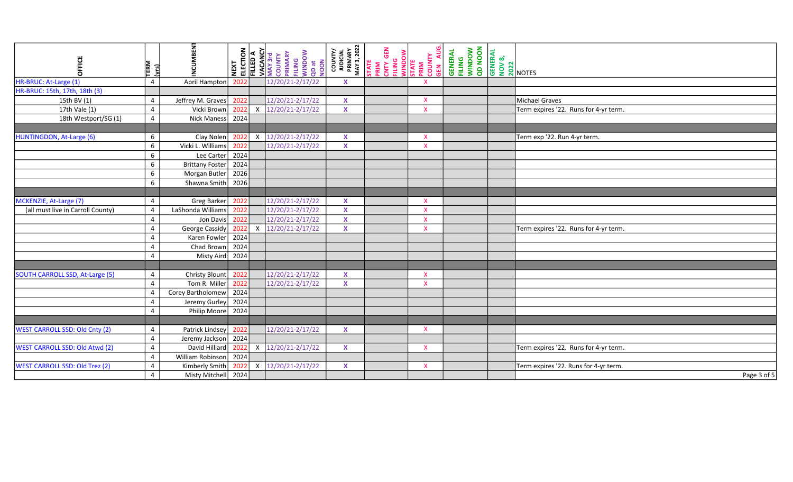| OFFICE                                | TERM<br><u>raj</u> | <b>NCUMBEN</b>         | ELECTION<br>NEXT | <b>FILLED A</b>           | <b>VACANCY</b><br>MAY 3rd<br>COUNTY<br>PRIMARY<br>PLING<br>MUNDOW<br>QD at<br>QD at | COUNTY/<br>JUDICIAL<br>PRIMARY<br>MAY 3, 2022 | <b>STATE</b><br>PRIM<br>PRIM GEN<br>COUNTY<br>MINDOW<br>STATE<br>PRIM<br>COUNTY<br>COUNTY |                           | <b>GENERAL<br/>FILING<br/>WINDOW<br/>QD NOON</b> | <b>GENERAL</b><br>NOV 8,<br>NOV 20<br>2021<br>NOTES |                                       |
|---------------------------------------|--------------------|------------------------|------------------|---------------------------|-------------------------------------------------------------------------------------|-----------------------------------------------|-------------------------------------------------------------------------------------------|---------------------------|--------------------------------------------------|-----------------------------------------------------|---------------------------------------|
| HR-BRUC: At-Large (1)                 | $\overline{4}$     | April Hampton          | 2022             |                           | 12/20/21-2/17/22                                                                    | X                                             |                                                                                           |                           |                                                  |                                                     |                                       |
| HR-BRUC: 15th, 17th, 18th (3)         |                    |                        |                  |                           |                                                                                     |                                               |                                                                                           |                           |                                                  |                                                     |                                       |
| 15th BV (1)                           | $\overline{4}$     | Jeffrey M. Graves      | 2022             |                           | 12/20/21-2/17/22                                                                    | $\mathbf x$                                   |                                                                                           | $\mathsf{X}$              |                                                  |                                                     | Michael Graves                        |
| 17th Vale (1)                         | $\overline{4}$     | Vicki Brown            | 2022             | $\boldsymbol{\mathsf{X}}$ | 12/20/21-2/17/22                                                                    | $\mathbf x$                                   |                                                                                           | $\mathsf{X}$              |                                                  |                                                     | Term expires '22. Runs for 4-yr term. |
| 18th Westport/SG (1)                  | $\overline{4}$     | Nick Maness            | 2024             |                           |                                                                                     |                                               |                                                                                           |                           |                                                  |                                                     |                                       |
|                                       |                    |                        |                  |                           |                                                                                     |                                               |                                                                                           |                           |                                                  |                                                     |                                       |
| HUNTINGDON, At-Large (6)              | 6                  | Clay Nolen             | 2022             | X                         | 12/20/21-2/17/22                                                                    | $\mathbf{x}$                                  |                                                                                           | $\mathsf{X}$              |                                                  |                                                     | Term exp '22. Run 4-yr term.          |
|                                       | 6                  | Vicki L. Williams      | 2022             |                           | 12/20/21-2/17/22                                                                    | $\boldsymbol{\mathsf{x}}$                     |                                                                                           | $\mathsf{X}$              |                                                  |                                                     |                                       |
|                                       | 6                  | Lee Carter             | 2024             |                           |                                                                                     |                                               |                                                                                           |                           |                                                  |                                                     |                                       |
|                                       | 6                  | <b>Brittany Foster</b> | 2024             |                           |                                                                                     |                                               |                                                                                           |                           |                                                  |                                                     |                                       |
|                                       | 6                  | Morgan Butler          | 2026             |                           |                                                                                     |                                               |                                                                                           |                           |                                                  |                                                     |                                       |
|                                       | 6                  | Shawna Smith           | 2026             |                           |                                                                                     |                                               |                                                                                           |                           |                                                  |                                                     |                                       |
|                                       |                    |                        |                  |                           |                                                                                     |                                               |                                                                                           |                           |                                                  |                                                     |                                       |
| MCKENZIE, At-Large (7)                | $\overline{4}$     | Greg Barker            | 2022             |                           | 12/20/21-2/17/22                                                                    | $\boldsymbol{\mathsf{x}}$                     |                                                                                           | $\mathsf{X}$              |                                                  |                                                     |                                       |
| (all must live in Carroll County)     | $\overline{4}$     | LaShonda Williams      | 2022             |                           | 12/20/21-2/17/22                                                                    | $\mathbf{x}$                                  |                                                                                           | $\mathsf{X}$              |                                                  |                                                     |                                       |
|                                       | $\overline{4}$     | Jon Davis              | 2022             |                           | 12/20/21-2/17/22                                                                    | $\mathbf x$                                   |                                                                                           | $\mathsf{X}$              |                                                  |                                                     |                                       |
|                                       | $\overline{4}$     | George Cassidy         | 2022             | $\boldsymbol{\mathsf{X}}$ | 12/20/21-2/17/22                                                                    | $\mathbf x$                                   |                                                                                           | $\mathsf{X}$              |                                                  |                                                     | Term expires '22. Runs for 4-yr term. |
|                                       | $\Delta$           | Karen Fowler           | 2024             |                           |                                                                                     |                                               |                                                                                           |                           |                                                  |                                                     |                                       |
|                                       | $\overline{4}$     | Chad Brown             | 2024             |                           |                                                                                     |                                               |                                                                                           |                           |                                                  |                                                     |                                       |
|                                       | $\overline{a}$     | Misty Aird             | 2024             |                           |                                                                                     |                                               |                                                                                           |                           |                                                  |                                                     |                                       |
|                                       |                    |                        |                  |                           |                                                                                     |                                               |                                                                                           |                           |                                                  |                                                     |                                       |
| SOUTH CARROLL SSD, At-Large (5)       | $\overline{4}$     | <b>Christy Blount</b>  | 2022             |                           | 12/20/21-2/17/22                                                                    | $\mathbf x$                                   |                                                                                           | $\mathsf{X}$              |                                                  |                                                     |                                       |
|                                       | $\Delta$           | Tom R. Miller          | 2022             |                           | 12/20/21-2/17/22                                                                    | $\pmb{\mathsf{X}}$                            |                                                                                           | $\boldsymbol{\mathsf{x}}$ |                                                  |                                                     |                                       |
|                                       | $\Delta$           | Corey Bartholomew      | 2024             |                           |                                                                                     |                                               |                                                                                           |                           |                                                  |                                                     |                                       |
|                                       | $\overline{4}$     | Jeremy Gurley          | 2024             |                           |                                                                                     |                                               |                                                                                           |                           |                                                  |                                                     |                                       |
|                                       | 4                  | Philip Moore           | 2024             |                           |                                                                                     |                                               |                                                                                           |                           |                                                  |                                                     |                                       |
|                                       |                    |                        |                  |                           |                                                                                     |                                               |                                                                                           |                           |                                                  |                                                     |                                       |
| <b>WEST CARROLL SSD: Old Cnty (2)</b> | 4                  | Patrick Lindsey        | 2022             |                           | 12/20/21-2/17/22                                                                    | $\boldsymbol{\mathsf{x}}$                     |                                                                                           | $\mathsf{X}$              |                                                  |                                                     |                                       |
|                                       | $\overline{4}$     | Jeremy Jackson         | 2024             |                           |                                                                                     |                                               |                                                                                           |                           |                                                  |                                                     |                                       |
| <b>WEST CARROLL SSD: Old Atwd (2)</b> | $\overline{4}$     | David Hilliard         | 2022             | X                         | 12/20/21-2/17/22                                                                    | $\mathbf{x}$                                  |                                                                                           | $\mathsf{X}$              |                                                  |                                                     | Term expires '22. Runs for 4-yr term. |
|                                       | 4                  | William Robinson       | 2024             |                           |                                                                                     |                                               |                                                                                           |                           |                                                  |                                                     |                                       |
| <b>WEST CARROLL SSD: Old Trez (2)</b> | $\overline{4}$     | Kimberly Smith         | 2022             | X                         | 12/20/21-2/17/22                                                                    | $\mathbf{x}$                                  |                                                                                           | $\mathsf{X}$              |                                                  |                                                     | Term expires '22. Runs for 4-yr term. |
|                                       | 4                  | Misty Mitchell         | 2024             |                           |                                                                                     |                                               |                                                                                           |                           |                                                  |                                                     | Page 3 of 5                           |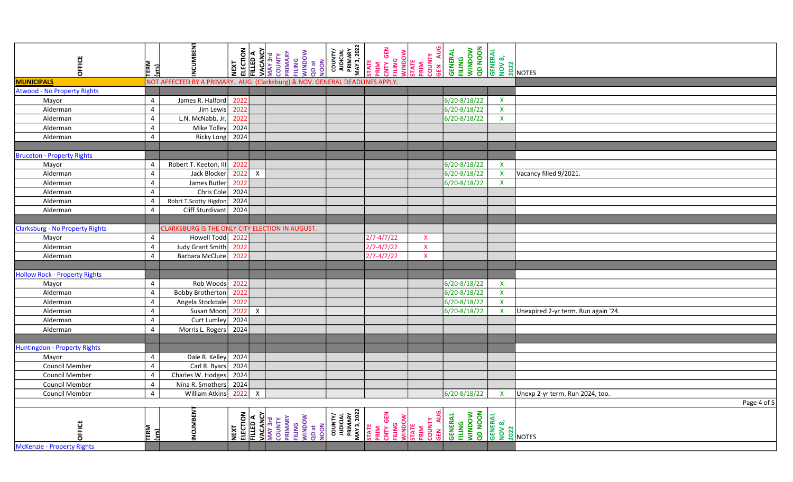| OFFICE                                 | TERM<br><u>(vrs</u> | <b>NCUMBEN</b>                                                               | ELECTION<br>NEXT | <b>FILLED A</b>  | <b>VACANCY</b><br>MAY 3rd<br>COUNTY<br>PRIMARY<br>FILING<br>NUDOW<br>NOON<br>NOON           | COUNTY/<br>JUDICIAL<br>PRIMARY<br>MAY 3, 2022 | STATE<br>PRIM<br>CNTY GEN | <b>FILING<br/> WINDOW<br/> STATE<br/> COUNTY<br/> COUNTY</b><br>GEN AUC | FILING<br>WINDOW<br>QD NOON<br><b>GENERAL</b> | <b>GENERAL</b><br><b>GENERA</b><br><b>DO 2021</b><br><b>NOTES</b> |                                     |
|----------------------------------------|---------------------|------------------------------------------------------------------------------|------------------|------------------|---------------------------------------------------------------------------------------------|-----------------------------------------------|---------------------------|-------------------------------------------------------------------------|-----------------------------------------------|-------------------------------------------------------------------|-------------------------------------|
| <b>MUNICIPALS</b>                      |                     | NOT AFFECTED BY A PRIMARY. AUG. (Clarksburg) & NOV. GENERAL DEADLINES APPLY. |                  |                  |                                                                                             |                                               |                           |                                                                         |                                               |                                                                   |                                     |
| <b>Atwood - No Property Rights</b>     |                     |                                                                              |                  |                  |                                                                                             |                                               |                           |                                                                         |                                               |                                                                   |                                     |
| Mayor                                  | $\overline{4}$      | James R. Halford                                                             | 2022             |                  |                                                                                             |                                               |                           |                                                                         | $6/20 - 8/18/22$                              | $\pmb{\mathsf{X}}$                                                |                                     |
| Alderman                               | $\overline{4}$      | Jim Lewis                                                                    | 2022             |                  |                                                                                             |                                               |                           |                                                                         | 6/20-8/18/22                                  | $\pmb{\mathsf{X}}$                                                |                                     |
| Alderman                               | $\overline{4}$      | L.N. McNabb, Jr.                                                             | 2022             |                  |                                                                                             |                                               |                           |                                                                         | 6/20-8/18/22                                  | $\pmb{\mathsf{X}}$                                                |                                     |
| Alderman                               | $\overline{4}$      | Mike Tolley                                                                  | 2024             |                  |                                                                                             |                                               |                           |                                                                         |                                               |                                                                   |                                     |
| Alderman                               | $\overline{4}$      | Ricky Long                                                                   | 2024             |                  |                                                                                             |                                               |                           |                                                                         |                                               |                                                                   |                                     |
|                                        |                     |                                                                              |                  |                  |                                                                                             |                                               |                           |                                                                         |                                               |                                                                   |                                     |
| <b>Bruceton - Property Rights</b>      |                     |                                                                              |                  |                  |                                                                                             |                                               |                           |                                                                         |                                               |                                                                   |                                     |
| Mayor                                  | $\overline{4}$      | Robert T. Keeton, III                                                        | 2022             |                  |                                                                                             |                                               |                           |                                                                         | 6/20-8/18/22                                  | $\boldsymbol{\mathsf{X}}$                                         |                                     |
| Alderman                               | $\overline{4}$      | Jack Blocker                                                                 | 2022             | $\boldsymbol{X}$ |                                                                                             |                                               |                           |                                                                         | $6/20 - 8/18/22$                              | $\pmb{\mathsf{X}}$                                                | Vacancy filled 9/2021.              |
| Alderman                               | $\overline{4}$      | James Butler                                                                 | 2022             |                  |                                                                                             |                                               |                           |                                                                         | 6/20-8/18/22                                  | $\mathsf X$                                                       |                                     |
| Alderman                               | $\overline{4}$      | Chris Cole                                                                   | 2024             |                  |                                                                                             |                                               |                           |                                                                         |                                               |                                                                   |                                     |
| Alderman                               | $\overline{4}$      | Robrt T.Scotty Higdon                                                        | 2024             |                  |                                                                                             |                                               |                           |                                                                         |                                               |                                                                   |                                     |
| Alderman                               | $\overline{4}$      | <b>Cliff Sturdivant</b>                                                      | 2024             |                  |                                                                                             |                                               |                           |                                                                         |                                               |                                                                   |                                     |
|                                        |                     |                                                                              |                  |                  |                                                                                             |                                               |                           |                                                                         |                                               |                                                                   |                                     |
| <b>Clarksburg - No Property Rights</b> |                     | CLARKSBURG IS THE ONLY CITY ELECTION IN AUGUST.                              |                  |                  |                                                                                             |                                               |                           |                                                                         |                                               |                                                                   |                                     |
| Mayor                                  | $\overline{4}$      | Howell Todd                                                                  | 2022             |                  |                                                                                             |                                               | $2/7 - 4/7/22$            | $\mathsf{X}$                                                            |                                               |                                                                   |                                     |
| Alderman                               | $\overline{4}$      | <b>Judy Grant Smith</b>                                                      | 2022             |                  |                                                                                             |                                               | $2/7 - 4/7/22$            | $\boldsymbol{\mathsf{X}}$                                               |                                               |                                                                   |                                     |
| Alderman                               | $\overline{4}$      | <b>Barbara McClure</b>                                                       | 2022             |                  |                                                                                             |                                               | 2/7-4/7/22                | $\mathbf{x}$                                                            |                                               |                                                                   |                                     |
|                                        |                     |                                                                              |                  |                  |                                                                                             |                                               |                           |                                                                         |                                               |                                                                   |                                     |
| <b>Hollow Rock - Property Rights</b>   |                     |                                                                              |                  |                  |                                                                                             |                                               |                           |                                                                         |                                               |                                                                   |                                     |
| Mayor                                  | $\overline{4}$      | Rob Woods                                                                    | 2022             |                  |                                                                                             |                                               |                           |                                                                         | 6/20-8/18/22                                  | $\mathsf{X}$                                                      |                                     |
| Alderman                               | $\overline{4}$      | <b>Bobby Brotherton</b>                                                      | 2022             |                  |                                                                                             |                                               |                           |                                                                         | $6/20 - 8/18/22$                              | $\mathsf{X}$                                                      |                                     |
| Alderman                               | $\overline{4}$      | Angela Stockdale                                                             | 2022             |                  |                                                                                             |                                               |                           |                                                                         | 6/20-8/18/22                                  | $\pmb{\mathsf{X}}$                                                |                                     |
| Alderman                               | $\overline{4}$      | Susan Moon                                                                   | 2022             | $\mathsf X$      |                                                                                             |                                               |                           |                                                                         | 6/20-8/18/22                                  | X                                                                 | Unexpired 2-yr term. Run again '24. |
| Alderman                               | $\overline{4}$      | Curt Lumley                                                                  | 2024             |                  |                                                                                             |                                               |                           |                                                                         |                                               |                                                                   |                                     |
| Alderman                               | $\overline{4}$      | Morris L. Rogers                                                             | 2024             |                  |                                                                                             |                                               |                           |                                                                         |                                               |                                                                   |                                     |
|                                        |                     |                                                                              |                  |                  |                                                                                             |                                               |                           |                                                                         |                                               |                                                                   |                                     |
| Huntingdon - Property Rights           |                     |                                                                              |                  |                  |                                                                                             |                                               |                           |                                                                         |                                               |                                                                   |                                     |
| Mayor                                  | $\overline{4}$      | Dale R. Kelley                                                               | 2024             |                  |                                                                                             |                                               |                           |                                                                         |                                               |                                                                   |                                     |
| <b>Council Member</b>                  | $\overline{4}$      | Carl R. Byars                                                                | 2024             |                  |                                                                                             |                                               |                           |                                                                         |                                               |                                                                   |                                     |
| <b>Council Member</b>                  | $\overline{4}$      | Charles W. Hodges                                                            | 2024             |                  |                                                                                             |                                               |                           |                                                                         |                                               |                                                                   |                                     |
| Council Member                         | $\overline{4}$      | Nina R. Smothers                                                             | 2024             |                  |                                                                                             |                                               |                           |                                                                         |                                               |                                                                   |                                     |
| <b>Council Member</b>                  | $\overline{4}$      | <b>William Atkins</b>                                                        | 2022             | $\boldsymbol{X}$ |                                                                                             |                                               |                           |                                                                         | $6/20 - 8/18/22$                              |                                                                   | Unexp 2-yr term. Run 2024, too.     |
|                                        |                     |                                                                              |                  |                  |                                                                                             |                                               |                           |                                                                         |                                               |                                                                   | Page 4 of 5                         |
| OFFICE                                 | TERM<br><u>(si</u>  | NCUMBEN <sup>-</sup>                                                         | ELECTION<br>NEXT | <b>FILLED A</b>  | <b>VACANCY</b><br>MAY 3rd<br>COUNTY<br>COUNTY<br>PRIMARY<br>PLING<br>SOD at<br>OON<br>QD at | COUNTY/<br>JUDICIAL<br>PRIMARY<br>MAY 3, 2022 | PRIM<br>CNTY GEN<br>TATE  | AUG.<br>FILING<br>WINDOW<br>STATE<br>PRIM<br><b>COUNTY</b><br>GEN AU    | FILING<br>WINDOW<br>QD NOON<br><b>GENERAL</b> | <b>GENERAL</b><br><b>NOV 8,<br/>2022</b><br>2022 NOTES            |                                     |
| McKenzie - Property Rights             |                     |                                                                              |                  |                  |                                                                                             |                                               |                           |                                                                         |                                               |                                                                   |                                     |